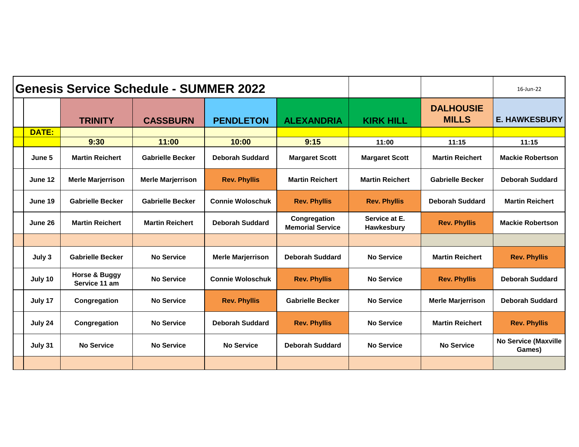|              |                                | <b>Genesis Service Schedule - SUMMER 2022</b> |                          |                                         | 16-Jun-22                   |                                  |                                |
|--------------|--------------------------------|-----------------------------------------------|--------------------------|-----------------------------------------|-----------------------------|----------------------------------|--------------------------------|
|              | <b>TRINITY</b>                 | <b>CASSBURN</b>                               | <b>PENDLETON</b>         | <b>ALEXANDRIA</b>                       | <b>KIRK HILL</b>            | <b>DALHOUSIE</b><br><b>MILLS</b> | <b>E. HAWKESBURY</b>           |
| <b>DATE:</b> |                                |                                               |                          |                                         |                             |                                  |                                |
|              | 9:30                           | 11:00                                         | 10:00                    | 9:15                                    | 11:00                       | 11:15                            | 11:15                          |
| June 5       | <b>Martin Reichert</b>         | <b>Gabrielle Becker</b>                       | <b>Deborah Suddard</b>   | <b>Margaret Scott</b>                   | <b>Margaret Scott</b>       | <b>Martin Reichert</b>           | <b>Mackie Robertson</b>        |
| June 12      | <b>Merle Marjerrison</b>       | <b>Merle Marjerrison</b>                      | <b>Rev. Phyllis</b>      | <b>Martin Reichert</b>                  | <b>Martin Reichert</b>      | <b>Gabrielle Becker</b>          | <b>Deborah Suddard</b>         |
| June 19      | <b>Gabrielle Becker</b>        | <b>Gabrielle Becker</b>                       | <b>Connie Woloschuk</b>  | <b>Rev. Phyllis</b>                     | <b>Rev. Phyllis</b>         | <b>Deborah Suddard</b>           | <b>Martin Reichert</b>         |
| June 26      | <b>Martin Reichert</b>         | <b>Martin Reichert</b>                        | <b>Deborah Suddard</b>   | Congregation<br><b>Memorial Service</b> | Service at E.<br>Hawkesbury | <b>Rev. Phyllis</b>              | <b>Mackie Robertson</b>        |
|              |                                |                                               |                          |                                         |                             |                                  |                                |
| July 3       | <b>Gabrielle Becker</b>        | <b>No Service</b>                             | <b>Merle Marjerrison</b> | <b>Deborah Suddard</b>                  | <b>No Service</b>           | <b>Martin Reichert</b>           | <b>Rev. Phyllis</b>            |
| July 10      | Horse & Buggy<br>Service 11 am | <b>No Service</b>                             | <b>Connie Woloschuk</b>  | <b>Rev. Phyllis</b>                     | <b>No Service</b>           | <b>Rev. Phyllis</b>              | <b>Deborah Suddard</b>         |
| July 17      | Congregation                   | <b>No Service</b>                             | <b>Rev. Phyllis</b>      | <b>Gabrielle Becker</b>                 | <b>No Service</b>           | <b>Merle Marjerrison</b>         | <b>Deborah Suddard</b>         |
| July 24      | Congregation                   | <b>No Service</b>                             | <b>Deborah Suddard</b>   | <b>Rev. Phyllis</b>                     | <b>No Service</b>           | <b>Martin Reichert</b>           | <b>Rev. Phyllis</b>            |
| July 31      | <b>No Service</b>              | <b>No Service</b>                             | <b>No Service</b>        | <b>Deborah Suddard</b>                  | <b>No Service</b>           | <b>No Service</b>                | No Service (Maxville<br>Games) |
|              |                                |                                               |                          |                                         |                             |                                  |                                |